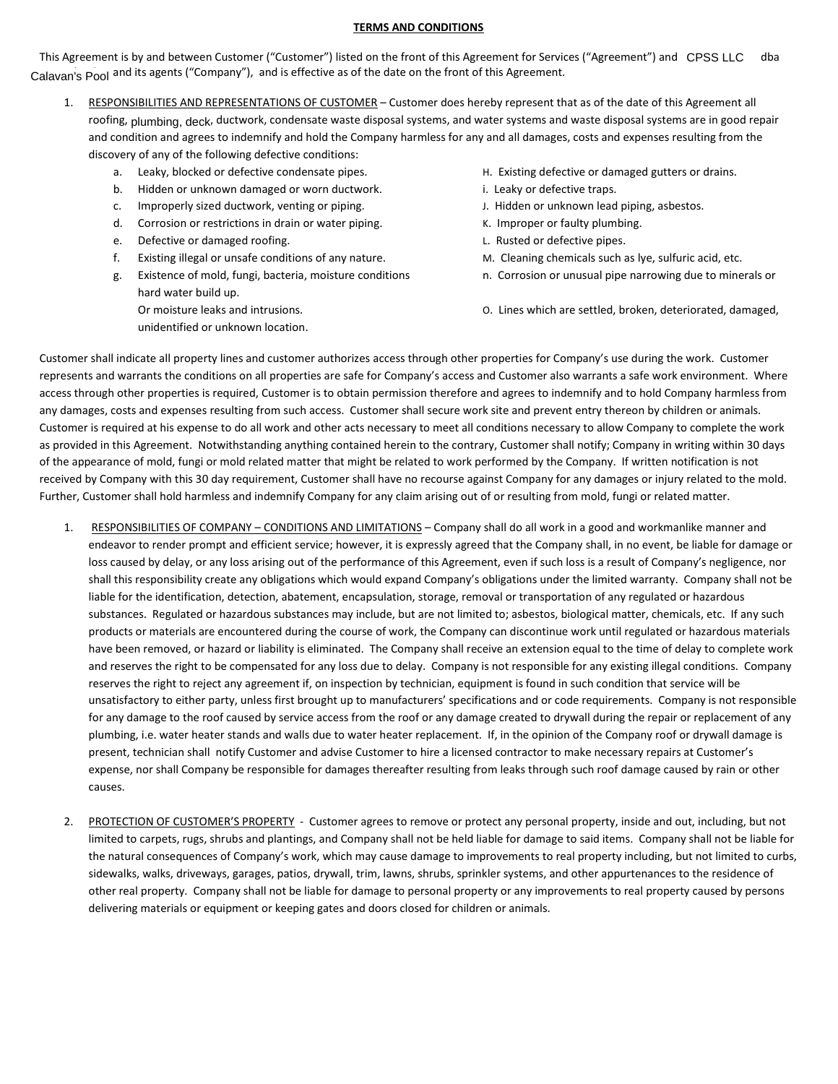## **TERMS AND CONDITIONS**

This Agreement is by and between Customer ("Customer") listed on the front of this Agreement for Services ("Agreement") and CPSS LLC dba Calavan's Pool and its agents ("Company"), and is effective as of the date on the front of this Agreement.

- 1. RESPONSIBILITIES AND REPRESENTATIONS OF CUSTOMER Customer does hereby represent that as of the date of this Agreement all roofing, <sub>Plumbing, deck</sub>, ductwork, condensate waste disposal systems, and water systems and waste disposal systems are in good repair and condition and agrees to indemnify and hold the Company harmless for any and all damages, costs and expenses resulting from the discovery of any of the following defective conditions:
	-
	- b. Hidden or unknown damaged or worn ductwork. **in the same of the same of the same of the same of the same of the same of the same of the same of the same of the same of the same of the same of the same of the same of the**
	- c. Improperly sized ductwork, venting or piping. The same states of the Hidden or unknown lead piping, asbestos.
	- d. Corrosion or restrictions in drain or water piping. K. Improper or faulty plumbing.
	- e. Defective or damaged roofing. The same of the set of the set of the set of the set of the set of the set of the set of the set of the set of the set of the set of the set of the set of the set of the set of the set of t
	- f. Existing illegal or unsafe conditions of any nature. M. Cleaning chemicals such as lye, sulfuric acid, etc.
	- g. Existence of mold, fungi, bacteria, moisture conditions n. Corrosion or unusual pipe narrowing due to minerals or hard water build up.
		- unidentified or unknown location.
- a. Leaky, blocked or defective condensate pipes. The state of the Existing defective or damaged gutters or drains.
	-
	-
	-
	-
	-
	-
	- Or moisture leaks and intrusions. O. Lines which are settled, broken, deteriorated, damaged,

Customer shall indicate all property lines and customer authorizes access through other properties for Company's use during the work. Customer represents and warrants the conditions on all properties are safe for Company's access and Customer also warrants a safe work environment. Where access through other properties is required, Customer is to obtain permission therefore and agrees to indemnify and to hold Company harmless from any damages, costs and expenses resulting from such access. Customer shall secure work site and prevent entry thereon by children or animals. Customer is required at his expense to do all work and other acts necessary to meet all conditions necessary to allow Company to complete the work as provided in this Agreement. Notwithstanding anything contained herein to the contrary, Customer shall notify; Company in writing within 30 days of the appearance of mold, fungi or mold related matter that might be related to work performed by the Company. If written notification is not received by Company with this 30 day requirement, Customer shall have no recourse against Company for any damages or injury related to the mold. Further, Customer shall hold harmless and indemnify Company for any claim arising out of or resulting from mold, fungi or related matter.

- 1. RESPONSIBILITIES OF COMPANY CONDITIONS AND LIMITATIONS Company shall do all work in a good and workmanlike manner and endeavor to render prompt and efficient service; however, it is expressly agreed that the Company shall, in no event, be liable for damage or loss caused by delay, or any loss arising out of the performance of this Agreement, even if such loss is a result of Company's negligence, nor shall this responsibility create any obligations which would expand Company's obligations under the limited warranty. Company shall not be liable for the identification, detection, abatement, encapsulation, storage, removal or transportation of any regulated or hazardous substances. Regulated or hazardous substances may include, but are not limited to; asbestos, biological matter, chemicals, etc. If any such products or materials are encountered during the course of work, the Company can discontinue work until regulated or hazardous materials have been removed, or hazard or liability is eliminated. The Company shall receive an extension equal to the time of delay to complete work and reserves the right to be compensated for any loss due to delay. Company is not responsible for any existing illegal conditions. Company reserves the right to reject any agreement if, on inspection by technician, equipment is found in such condition that service will be unsatisfactory to either party, unless first brought up to manufacturers' specifications and or code requirements. Company is not responsible for any damage to the roof caused by service access from the roof or any damage created to drywall during the repair or replacement of any plumbing, i.e. water heater stands and walls due to water heater replacement. If, in the opinion of the Company roof or drywall damage is present, technician shall notify Customer and advise Customer to hire a licensed contractor to make necessary repairs at Customer's expense, nor shall Company be responsible for damages thereafter resulting from leaks through such roof damage caused by rain or other causes.
- 2. PROTECTION OF CUSTOMER'S PROPERTY Customer agrees to remove or protect any personal property, inside and out, including, but not limited to carpets, rugs, shrubs and plantings, and Company shall not be held liable for damage to said items. Company shall not be liable for the natural consequences of Company's work, which may cause damage to improvements to real property including, but not limited to curbs, sidewalks, walks, driveways, garages, patios, drywall, trim, lawns, shrubs, sprinkler systems, and other appurtenances to the residence of other real property. Company shall not be liable for damage to personal property or any improvements to real property caused by persons delivering materials or equipment or keeping gates and doors closed for children or animals.